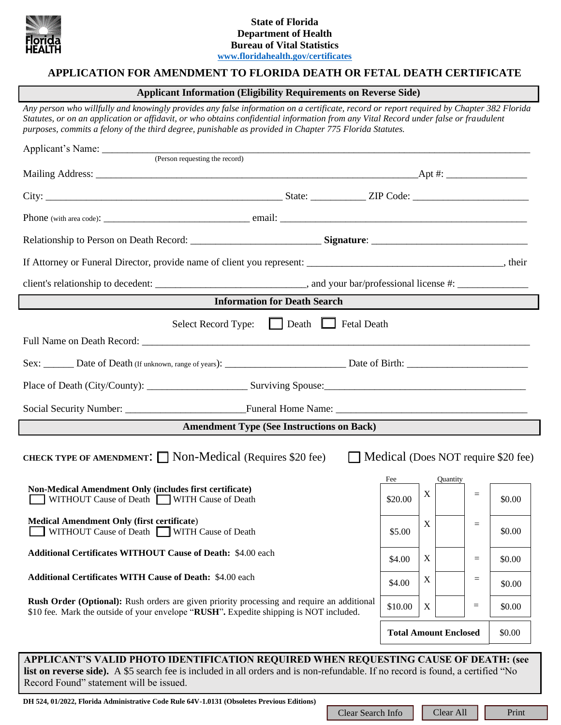

# **State of Florida Department of Health Bureau of Vital Statistics [www.floridahealth.gov/certificates](http://www.floridahealth.gov/certificates)**

# **APPLICATION FOR AMENDMENT TO FLORIDA DEATH OR FETAL DEATH CERTIFICATE**

# **Applicant Information (Eligibility Requirements on Reverse Side)**

*Any person who willfully and knowingly provides any false information on a certificate, record or report required by Chapter 382 Florida Statutes, or on an application or affidavit, or who obtains confidential information from any Vital Record under false or fraudulent purposes, commits a felony of the third degree, punishable as provided in Chapter 775 Florida Statutes.*

| If Attorney or Funeral Director, provide name of client you represent: ___________________________________, their                                                                    |                              |             |          |     |        |
|--------------------------------------------------------------------------------------------------------------------------------------------------------------------------------------|------------------------------|-------------|----------|-----|--------|
|                                                                                                                                                                                      |                              |             |          |     |        |
| <b>Information for Death Search</b>                                                                                                                                                  |                              |             |          |     |        |
| Select Record Type: [ Death Fetal Death                                                                                                                                              |                              |             |          |     |        |
|                                                                                                                                                                                      |                              |             |          |     |        |
|                                                                                                                                                                                      |                              |             |          |     |        |
|                                                                                                                                                                                      |                              |             |          |     |        |
|                                                                                                                                                                                      |                              |             |          |     |        |
| <b>Amendment Type (See Instructions on Back)</b>                                                                                                                                     |                              |             |          |     |        |
| CHECK TYPE OF AMENDMENT: $\Box$ Non-Medical (Requires \$20 fee)<br>$\Box$ Medical (Does NOT require \$20 fee)                                                                        |                              |             |          |     |        |
| Non-Medical Amendment Only (includes first certificate)                                                                                                                              | Fee                          |             | Quantity |     |        |
| WITHOUT Cause of Death WITH Cause of Death                                                                                                                                           | \$20.00                      | X           |          | $=$ | \$0.00 |
| <b>Medical Amendment Only (first certificate)</b><br>WITHOUT Cause of Death WITH Cause of Death                                                                                      | \$5.00                       | $\mathbf X$ |          | $=$ | \$0.00 |
| <b>Additional Certificates WITHOUT Cause of Death: \$4.00 each</b>                                                                                                                   | \$4.00                       | $\mathbf X$ |          | $=$ | \$0.00 |
| <b>Additional Certificates WITH Cause of Death: \$4.00 each</b>                                                                                                                      | \$4.00                       | $\mathbf X$ |          | $=$ | \$0.00 |
| Rush Order (Optional): Rush orders are given priority processing and require an additional<br>\$10 fee. Mark the outside of your envelope "RUSH". Expedite shipping is NOT included. | \$10.00                      | $\mathbf X$ |          | $=$ | \$0.00 |
|                                                                                                                                                                                      | <b>Total Amount Enclosed</b> |             |          |     | \$0.00 |
| APPLICANT'S VALID PHOTO IDENTIFICATION REQUIRED WHEN REQUESTING CAUSE OF DEATH: (see                                                                                                 |                              |             |          |     |        |

**list on reverse side).** A \$5 search fee is included in all orders and is non-refundable. If no record is found, a certified "No Record Found" statement will be issued.

**DH 524, 01/2022, Florida Administrative Code Rule 64V-1.0131 (Obsoletes Previous Editions)**

Clear Search Info | | Clear All | | Print